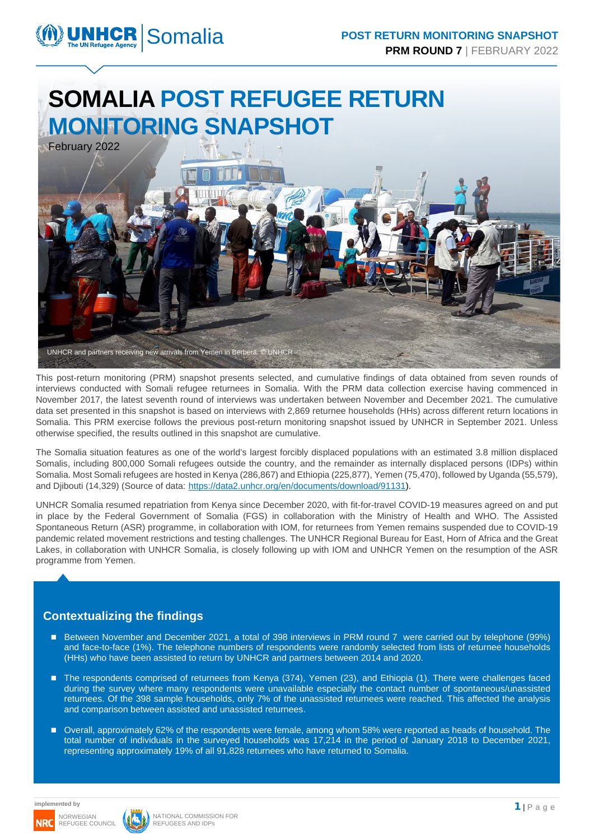# **SOMALIA POST REFUGEE RETURN MONITORING SNAPSHOT**



This post-return monitoring (PRM) snapshot presents selected, and cumulative findings of data obtained from seven rounds of interviews conducted with Somali refugee returnees in Somalia. With the PRM data collection exercise having commenced in November 2017, the latest seventh round of interviews was undertaken between November and December 2021. The cumulative data set presented in this snapshot is based on interviews with 2,869 returnee households (HHs) across different return locations in Somalia. This PRM exercise follows the previous post-return monitoring snapshot issued by UNHCR in September 2021. Unless otherwise specified, the results outlined in this snapshot are cumulative.

The Somalia situation features as one of the world's largest forcibly displaced populations with an estimated 3.8 million displaced Somalis, including 800,000 Somali refugees outside the country, and the remainder as internally displaced persons (IDPs) within Somalia. Most Somali refugees are hosted in Kenya (286,867) and Ethiopia (225,877), Yemen (75,470), followed by Uganda (55,579), and Djibouti (14,329) (Source of data: [https://data2.unhcr.org/en/documents/download/91131\)](https://data2.unhcr.org/en/documents/download/91131).

UNHCR Somalia resumed repatriation from Kenya since December 2020, with fit-for-travel COVID-19 measures agreed on and put in place by the Federal Government of Somalia (FGS) in collaboration with the Ministry of Health and WHO. The Assisted Spontaneous Return (ASR) programme, in collaboration with IOM, for returnees from Yemen remains suspended due to COVID-19 pandemic related movement restrictions and testing challenges. The UNHCR Regional Bureau for East, Horn of Africa and the Great Lakes, in collaboration with UNHCR Somalia, is closely following up with IOM and UNHCR Yemen on the resumption of the ASR programme from Yemen.

#### **Contextualizing the findings**

- Between November and December 2021, a total of 398 interviews in PRM round 7 were carried out by telephone (99%) and face-to-face (1%). The telephone numbers of respondents were randomly selected from lists of returnee households (HHs) who have been assisted to return by UNHCR and partners between 2014 and 2020.
- The respondents comprised of returnees from Kenya (374), Yemen (23), and Ethiopia (1). There were challenges faced during the survey where many respondents were unavailable especially the contact number of spontaneous/unassisted returnees. Of the 398 sample households, only 7% of the unassisted returnees were reached. This affected the analysis and comparison between assisted and unassisted returnees.
- Overall, approximately 62% of the respondents were female, among whom 58% were reported as heads of household. The total number of individuals in the surveyed households was 17,214 in the period of January 2018 to December 2021, representing approximately 19% of all 91,828 returnees who have returned to Somalia.

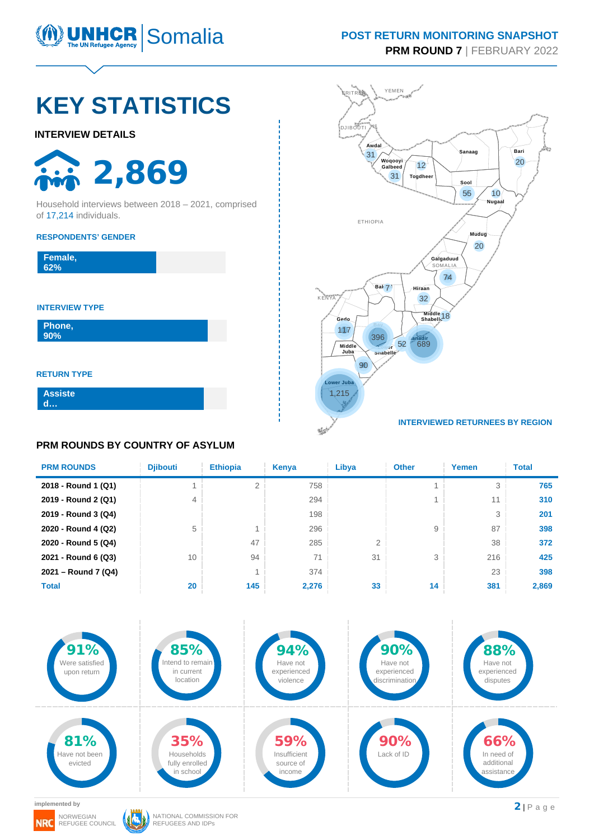

# **PRM ROUND 7** | FEBRUARY 2022

# **KEY STATISTICS**

**INTERVIEW DETAILS**

 $\frac{2}{9}$  2,869

Household interviews between 2018 – 2021, comprised of 17,214 individuals.

#### **RESPONDENTS' GENDER**

| Female,<br>62% |  |  |
|----------------|--|--|
|                |  |  |

#### **INTERVIEW TYPE**

**Phone, 90%**

**RETURN TYPE**

**Assiste d …**

#### **PRM ROUNDS BY COUNTRY OF ASYLUM**



| <b>PRM ROUNDS</b>   | <b>Diibouti</b> | <b>Ethiopia</b> | Kenya | Libya | <b>Other</b> | Yemen | <b>Total</b> |
|---------------------|-----------------|-----------------|-------|-------|--------------|-------|--------------|
| 2018 - Round 1 (Q1) |                 | 2               | 758   |       |              | 3     | 765          |
| 2019 - Round 2 (Q1) | 4               |                 | 294   |       |              | 11    | 310          |
| 2019 - Round 3 (Q4) |                 |                 | 198   |       |              | 3     | 201          |
| 2020 - Round 4 (Q2) | 5               |                 | 296   |       | 9            | 87    | 398          |
| 2020 - Round 5 (Q4) |                 | 47              | 285   | 2     |              | 38    | 372          |
| 2021 - Round 6 (Q3) | 10              | 94              | 71    | 31    | 3            | 216   | 425          |
| 2021 - Round 7 (Q4) |                 |                 | 374   |       |              | 23    | 398          |
| <b>Total</b>        | 20              | 145             | 2,276 | 33    | 14           | 381   | 2,869        |

 $\omega_{\rm c}$ 



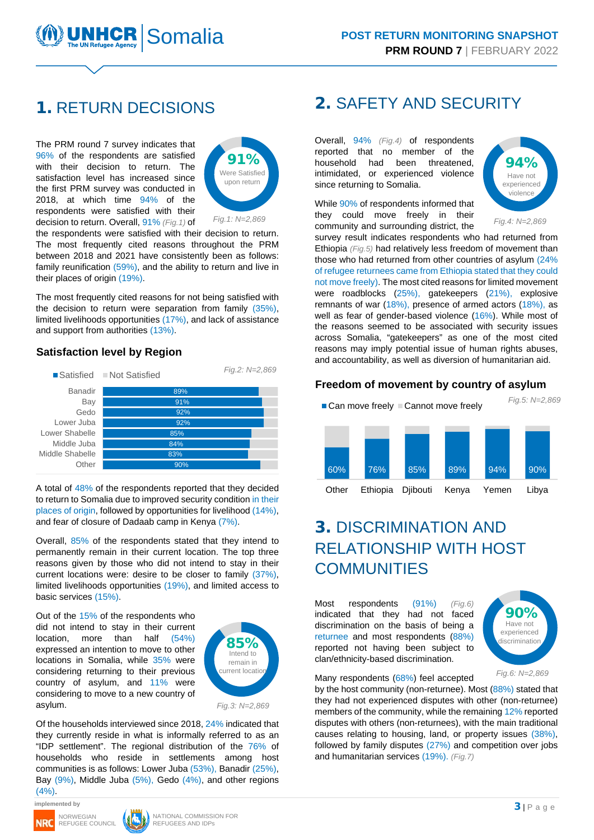

#### 1. RETURN DECISIONS

The PRM round 7 survey indicates that 96% of the respondents are satisfied with their decision to return. The satisfaction level has increased since the first PRM survey was conducted in 2018, at which time 94% of the respondents were satisfied with their decision to return. Overall, 91% *(Fig.1)* of



the respondents were satisfied with their decision to return. The most frequently cited reasons throughout the PRM between 2018 and 2021 have consistently been as follows: family reunification (59%), and the ability to return and live in their places of origin (19%).

The most frequently cited reasons for not being satisfied with the decision to return were separation from family (35%), limited livelihoods opportunities (17%), and lack of assistance and support from authorities (13%).

#### **Satisfaction level by Region**



A total of 48% of the respondents reported that they decided to return to Somalia due to improved security condition in their places of origin, followed by opportunities for livelihood (14%), and fear of closure of Dadaab camp in Kenya (7%).

Overall, 85% of the respondents stated that they intend to permanently remain in their current location. The top three reasons given by those who did not intend to stay in their current locations were: desire to be closer to family (37%), limited livelihoods opportunities (19%), and limited access to basic services (15%).

Out of the 15% of the respondents who did not intend to stay in their current location, more than half (54%) expressed an intention to move to other locations in Somalia, while 35% were considering returning to their previous country of asylum, and 11% were considering to move to a new country of asylum.



*Fig.3: N=2,869*

Of the households interviewed since 2018, 24% indicated that they currently reside in what is informally referred to as an "IDP settlement". The regional distribution of the 76% of households who reside in settlements among host communities is as follows: Lower Juba (53%), Banadir (25%), Bay (9%), Middle Juba (5%), Gedo (4%), and other regions (4%).

**implemented by**





### 2. SAFETY AND SECURITY

Overall, 94% *(Fig.4)* of respondents reported that no member of the household had been threatened, intimidated, or experienced violence since returning to Somalia.

While 90% of respondents informed that they could move freely in their community and surrounding district, the



*Fig.4: N=2,869*

survey result indicates respondents who had returned from Ethiopia *(Fig.5)* had relatively less freedom of movement than those who had returned from other countries of asylum (24% of refugee returnees came from Ethiopia stated that they could not move freely). The most cited reasons for limited movement were roadblocks (25%), gatekeepers (21%), explosive remnants of war (18%), presence of armed actors (18%), as well as fear of gender-based violence (16%). While most of the reasons seemed to be associated with security issues across Somalia, "gatekeepers" as one of the most cited reasons may imply potential issue of human rights abuses, and accountability, as well as diversion of humanitarian aid.

#### **Freedom of movement by country of asylum**



### 3. DISCRIMINATION AND RELATIONSHIP WITH HOST **COMMUNITIES**

Most respondents (91%) *(Fig.6)* indicated that they had not faced discrimination on the basis of being a returnee and most respondents (88%) reported not having been subject to clan/ethnicity-based discrimination.



Many respondents (68%) feel accepted

by the host community (non-returnee). Most (88%) stated that they had not experienced disputes with other (non-returnee) members of the community, while the remaining 12% reported disputes with others (non-returnees), with the main traditional causes relating to housing, land, or property issues (38%), followed by family disputes (27%) and competition over jobs and humanitarian services (19%). *(Fig.7)*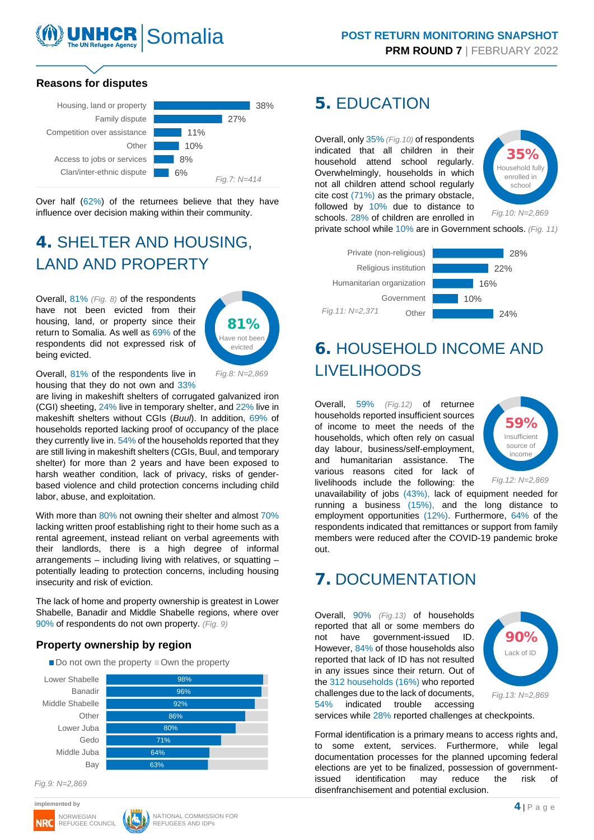# **NHCR**

#### **Reasons for disputes**



Over half (62%) of the returnees believe that they have influence over decision making within their community.

## 4. SHELTER AND HOUSING, LAND AND PROPERTY

Overall, 81% *(Fig. 8)* of the respondents have not been evicted from their housing, land, or property since their return to Somalia. As well as 69% of the respondents did not expressed risk of being evicted.



Overall, 81% of the respondents live in housing that they do not own and 33%

are living in makeshift shelters of corrugated galvanized iron (CGI) sheeting, 24% live in temporary shelter, and 22% live in makeshift shelters without CGIs (*Buul*). In addition, 69% of households reported lacking proof of occupancy of the place they currently live in. 54% of the households reported that they are still living in makeshift shelters (CGIs, Buul, and temporary shelter) for more than 2 years and have been exposed to harsh weather condition, lack of privacy, risks of genderbased violence and child protection concerns including child labor, abuse, and exploitation.

With more than 80% not owning their shelter and almost 70% lacking written proof establishing right to their home such as a rental agreement, instead reliant on verbal agreements with their landlords, there is a high degree of informal arrangements – including living with relatives, or squatting – potentially leading to protection concerns, including housing insecurity and risk of eviction.

The lack of home and property ownership is greatest in Lower Shabelle, Banadir and Middle Shabelle regions, where over 90% of respondents do not own property. *(Fig. 9)*

#### **Property ownership by region**

| $\blacksquare$ Do not own the property $\blacksquare$ Own the property |     |  |  |  |  |
|------------------------------------------------------------------------|-----|--|--|--|--|
| Lower Shabelle                                                         | 98% |  |  |  |  |
| <b>Banadir</b>                                                         | 96% |  |  |  |  |
| Middle Shabelle                                                        | 92% |  |  |  |  |
| Other                                                                  | 86% |  |  |  |  |
| Lower Juba                                                             | 80% |  |  |  |  |
| Gedo                                                                   | 71% |  |  |  |  |
| Middle Juba                                                            | 64% |  |  |  |  |
| Bay                                                                    | 63% |  |  |  |  |

*Fig.9: N=2,869*





### 5. EDUCATION

Overall, only 35% *(Fig.10)* of respondents indicated that all children in their household attend school regularly. Overwhelmingly, households in which not all children attend school regularly cite cost (71%) as the primary obstacle, followed by 10% due to distance to schools. 28% of children are enrolled in



private school while 10% are in Government schools. *(Fig. 11)*



## 6. HOUSEHOLD INCOME AND LIVELIHOODS

Overall, 59% *(Fig.12)* of returnee households reported insufficient sources of income to meet the needs of the households, which often rely on casual day labour, business/self-employment, and humanitarian assistance. The various reasons cited for lack of livelihoods include the following: the



*Fig.12: N=2,869*

unavailability of jobs (43%), lack of equipment needed for running a business (15%), and the long distance to employment opportunities (12%). Furthermore, 64% of the respondents indicated that remittances or support from family members were reduced after the COVID-19 pandemic broke out.

### 7. DOCUMENTATION

Overall, 90% *(Fig.13)* of households reported that all or some members do not have government-issued ID. However, 84% of those households also reported that lack of ID has not resulted in any issues since their return. Out of the 312 households (16%) who reported challenges due to the lack of documents, 54% indicated trouble accessing



*Fig.13: N=2,869*

services while 28% reported challenges at checkpoints.

Formal identification is a primary means to access rights and, to some extent, services. Furthermore, while legal documentation processes for the planned upcoming federal elections are yet to be finalized, possession of governmentissued identification may reduce the risk of disenfranchisement and potential exclusion.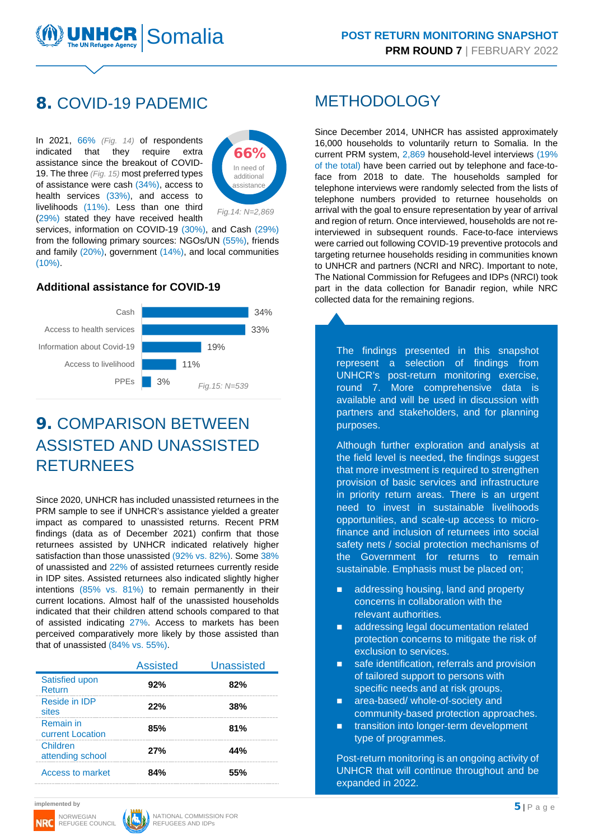### 8. COVID-19 PADEMIC

In 2021, 66% *(Fig. 14)* of respondents indicated that they require extra assistance since the breakout of COVID-19. The three *(Fig. 15)* most preferred types of assistance were cash (34%), access to health services (33%), and access to livelihoods (11%). Less than one third (29%) stated they have received health



*Fig.14: N=2,869*

services, information on COVID-19 (30%), and Cash (29%) from the following primary sources: NGOs/UN (55%), friends and family (20%), government (14%), and local communities  $(10\%)$ .

#### **Additional assistance for COVID-19**



### 9. COMPARISON BETWEEN ASSISTED AND UNASSISTED RETURNEES

Since 2020, UNHCR has included unassisted returnees in the PRM sample to see if UNHCR's assistance yielded a greater impact as compared to unassisted returns. Recent PRM findings (data as of December 2021) confirm that those returnees assisted by UNHCR indicated relatively higher satisfaction than those unassisted (92% vs. 82%). Some 38% of unassisted and 22% of assisted returnees currently reside in IDP sites. Assisted returnees also indicated slightly higher intentions (85% vs. 81%) to remain permanently in their current locations. Almost half of the unassisted households indicated that their children attend schools compared to that of assisted indicating 27%. Access to markets has been perceived comparatively more likely by those assisted than that of unassisted (84% vs. 55%).

|                               | <b>Assisted</b> | <b>Unassisted</b> |
|-------------------------------|-----------------|-------------------|
| Satisfied upon<br>Return      | 92%             | 82%               |
| Reside in IDP<br>sites        | 22%             | 38%               |
| Remain in<br>current Location | 85%             | 81%               |
| Children<br>attending school  | 27%             | 44%               |
| Access to market              | ጸ4%             | 55%               |

### **METHODOLOGY**

Since December 2014, UNHCR has assisted approximately 16,000 households to voluntarily return to Somalia. In the current PRM system, 2,869 household-level interviews (19% of the total) have been carried out by telephone and face-toface from 2018 to date. The households sampled for telephone interviews were randomly selected from the lists of telephone numbers provided to returnee households on arrival with the goal to ensure representation by year of arrival and region of return. Once interviewed, households are not reinterviewed in subsequent rounds. Face-to-face interviews were carried out following COVID-19 preventive protocols and targeting returnee households residing in communities known to UNHCR and partners (NCRI and NRC). Important to note, The National Commission for Refugees and IDPs (NRCI) took part in the data collection for Banadir region, while NRC collected data for the remaining regions.

The findings presented in this snapshot represent a selection of findings from UNHCR's post-return monitoring exercise, round 7. More comprehensive data is available and will be used in discussion with partners and stakeholders, and for planning purposes.

Although further exploration and analysis at the field level is needed, the findings suggest that more investment is required to strengthen provision of basic services and infrastructure in priority return areas. There is an urgent need to invest in sustainable livelihoods opportunities, and scale-up access to microfinance and inclusion of returnees into social safety nets / social protection mechanisms of the Government for returns to remain sustainable. Emphasis must be placed on;

- addressing housing, land and property concerns in collaboration with the relevant authorities.
- addressing legal documentation related protection concerns to mitigate the risk of exclusion to services.
- safe identification, referrals and provision of tailored support to persons with specific needs and at risk groups.
- **E** area-based/ whole-of-society and community-based protection approaches.
- **u** transition into longer-term development type of programmes.

Post-return monitoring is an ongoing activity of UNHCR that will continue throughout and be expanded in 2022.